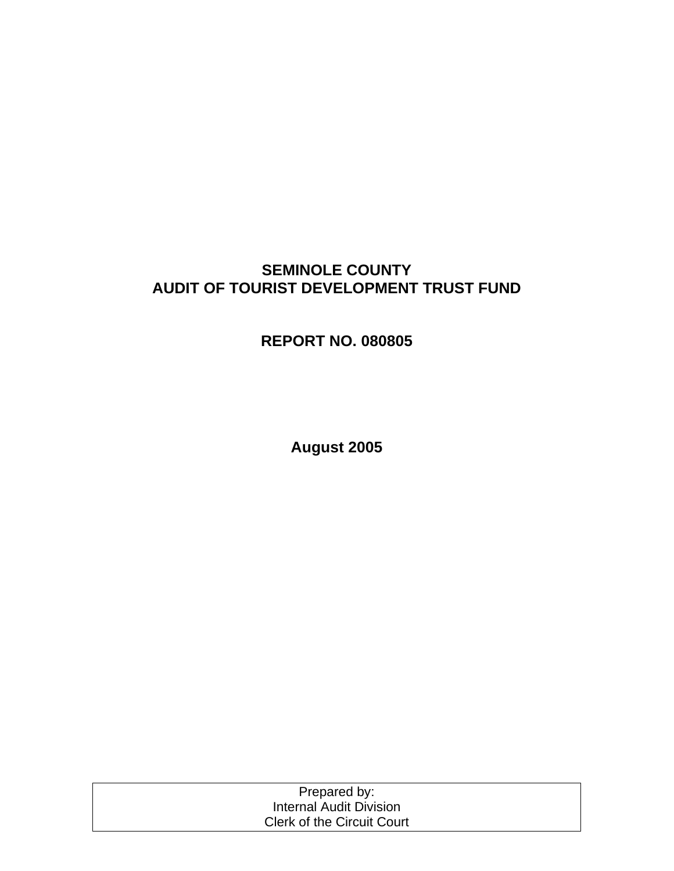# **SEMINOLE COUNTY AUDIT OF TOURIST DEVELOPMENT TRUST FUND**

# **REPORT NO. 080805**

**August 2005** 

| Prepared by:                      |  |
|-----------------------------------|--|
| Internal Audit Division           |  |
| <b>Clerk of the Circuit Court</b> |  |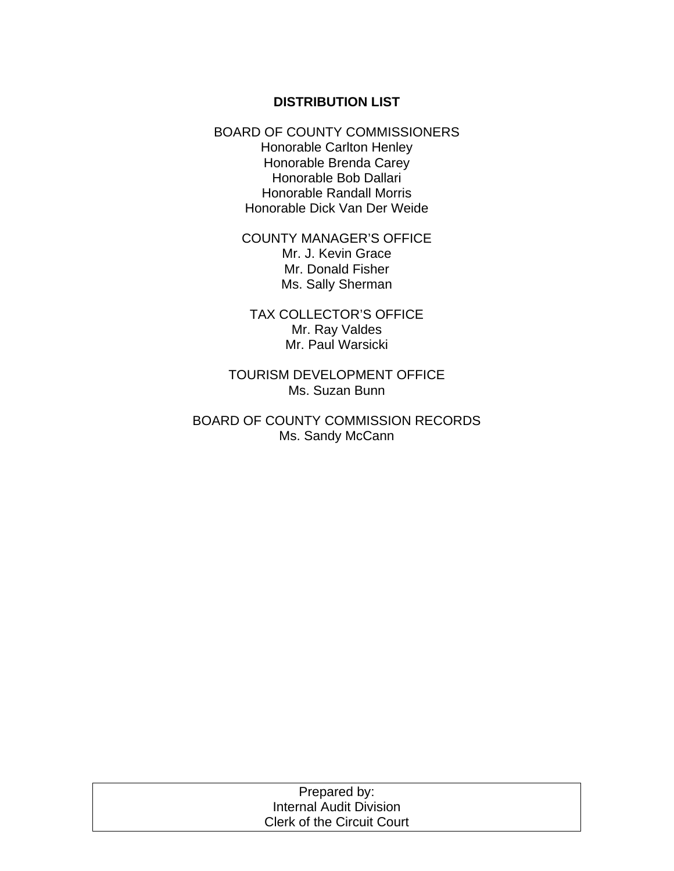#### **DISTRIBUTION LIST**

BOARD OF COUNTY COMMISSIONERS Honorable Carlton Henley Honorable Brenda Carey Honorable Bob Dallari Honorable Randall Morris Honorable Dick Van Der Weide

> COUNTY MANAGER'S OFFICE Mr. J. Kevin Grace Mr. Donald Fisher Ms. Sally Sherman

TAX COLLECTOR'S OFFICE Mr. Ray Valdes Mr. Paul Warsicki

TOURISM DEVELOPMENT OFFICE Ms. Suzan Bunn

BOARD OF COUNTY COMMISSION RECORDS Ms. Sandy McCann

| Prepared by:                      |  |
|-----------------------------------|--|
| Internal Audit Division           |  |
| <b>Clerk of the Circuit Court</b> |  |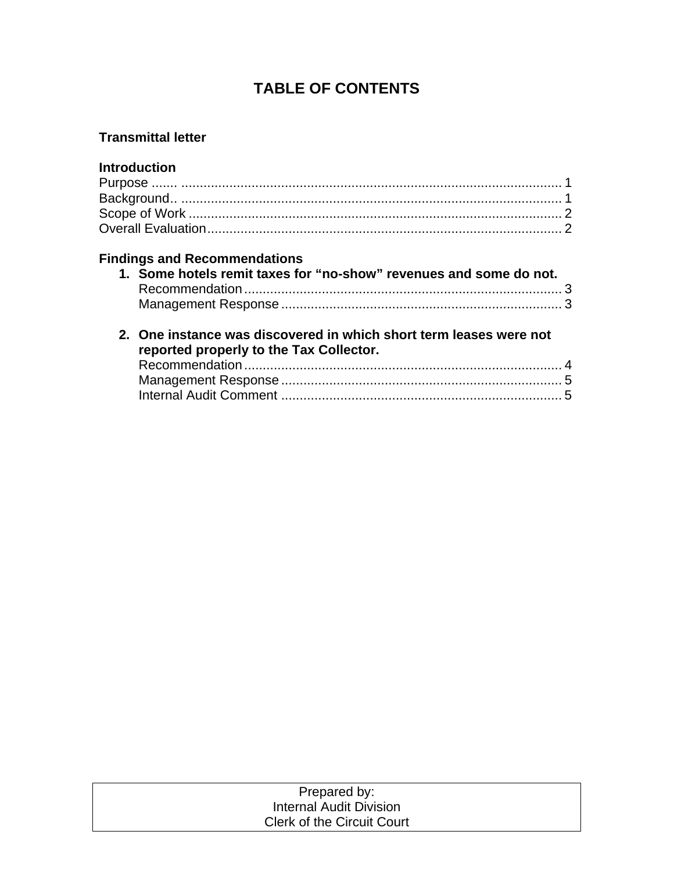# **TABLE OF CONTENTS**

## **Transmittal letter**

## **Introduction**

## **Findings and Recommendations**

| 1. Some hotels remit taxes for "no-show" revenues and some do not. |
|--------------------------------------------------------------------|

## **2. One instance was discovered in which short term leases were not reported properly to the Tax Collector.**

| Prepared by:                      |  |
|-----------------------------------|--|
| Internal Audit Division           |  |
| <b>Clerk of the Circuit Court</b> |  |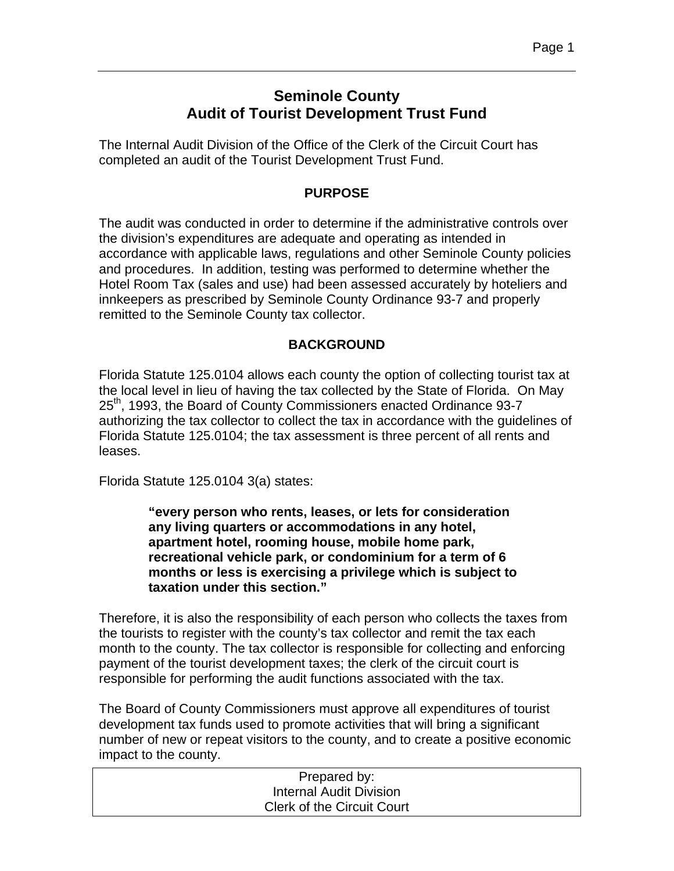# **Seminole County Audit of Tourist Development Trust Fund**

The Internal Audit Division of the Office of the Clerk of the Circuit Court has completed an audit of the Tourist Development Trust Fund.

## **PURPOSE**

The audit was conducted in order to determine if the administrative controls over the division's expenditures are adequate and operating as intended in accordance with applicable laws, regulations and other Seminole County policies and procedures. In addition, testing was performed to determine whether the Hotel Room Tax (sales and use) had been assessed accurately by hoteliers and innkeepers as prescribed by Seminole County Ordinance 93-7 and properly remitted to the Seminole County tax collector.

## **BACKGROUND**

Florida Statute 125.0104 allows each county the option of collecting tourist tax at the local level in lieu of having the tax collected by the State of Florida. On May 25<sup>th</sup>, 1993, the Board of County Commissioners enacted Ordinance 93-7 authorizing the tax collector to collect the tax in accordance with the guidelines of Florida Statute 125.0104; the tax assessment is three percent of all rents and leases.

Florida Statute 125.0104 3(a) states:

**"every person who rents, leases, or lets for consideration any living quarters or accommodations in any hotel, apartment hotel, rooming house, mobile home park, recreational vehicle park, or condominium for a term of 6 months or less is exercising a privilege which is subject to taxation under this section."** 

Therefore, it is also the responsibility of each person who collects the taxes from the tourists to register with the county's tax collector and remit the tax each month to the county. The tax collector is responsible for collecting and enforcing payment of the tourist development taxes; the clerk of the circuit court is responsible for performing the audit functions associated with the tax.

The Board of County Commissioners must approve all expenditures of tourist development tax funds used to promote activities that will bring a significant number of new or repeat visitors to the county, and to create a positive economic impact to the county.

| Prepared by:                      |  |
|-----------------------------------|--|
| Internal Audit Division           |  |
| <b>Clerk of the Circuit Court</b> |  |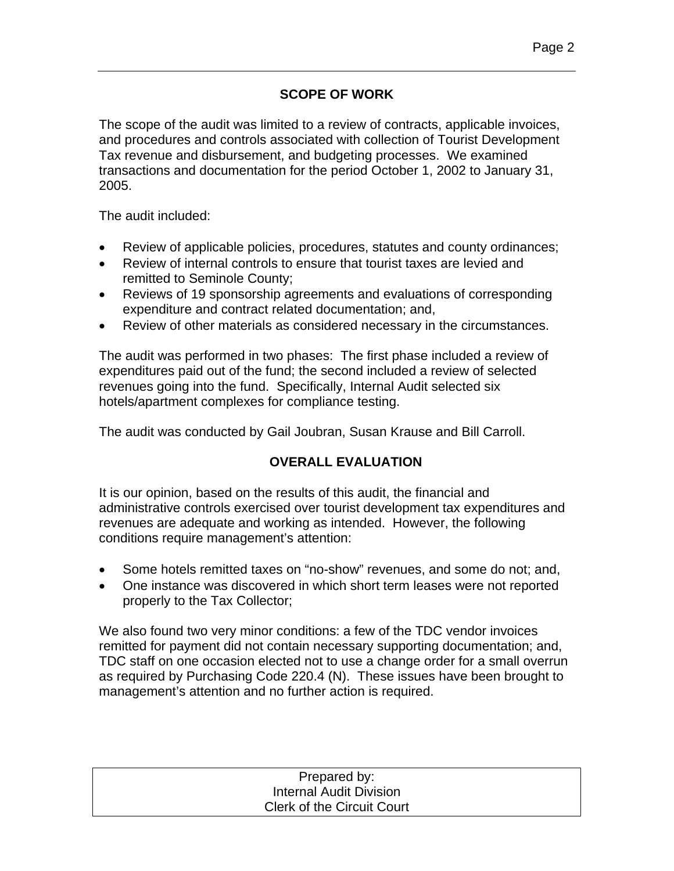## **SCOPE OF WORK**

The scope of the audit was limited to a review of contracts, applicable invoices, and procedures and controls associated with collection of Tourist Development Tax revenue and disbursement, and budgeting processes. We examined transactions and documentation for the period October 1, 2002 to January 31, 2005.

The audit included:

- Review of applicable policies, procedures, statutes and county ordinances;
- Review of internal controls to ensure that tourist taxes are levied and remitted to Seminole County;
- Reviews of 19 sponsorship agreements and evaluations of corresponding expenditure and contract related documentation; and,
- Review of other materials as considered necessary in the circumstances.

The audit was performed in two phases: The first phase included a review of expenditures paid out of the fund; the second included a review of selected revenues going into the fund. Specifically, Internal Audit selected six hotels/apartment complexes for compliance testing.

The audit was conducted by Gail Joubran, Susan Krause and Bill Carroll.

## **OVERALL EVALUATION**

It is our opinion, based on the results of this audit, the financial and administrative controls exercised over tourist development tax expenditures and revenues are adequate and working as intended. However, the following conditions require management's attention:

- Some hotels remitted taxes on "no-show" revenues, and some do not; and,
- One instance was discovered in which short term leases were not reported properly to the Tax Collector;

We also found two very minor conditions: a few of the TDC vendor invoices remitted for payment did not contain necessary supporting documentation; and, TDC staff on one occasion elected not to use a change order for a small overrun as required by Purchasing Code 220.4 (N). These issues have been brought to management's attention and no further action is required.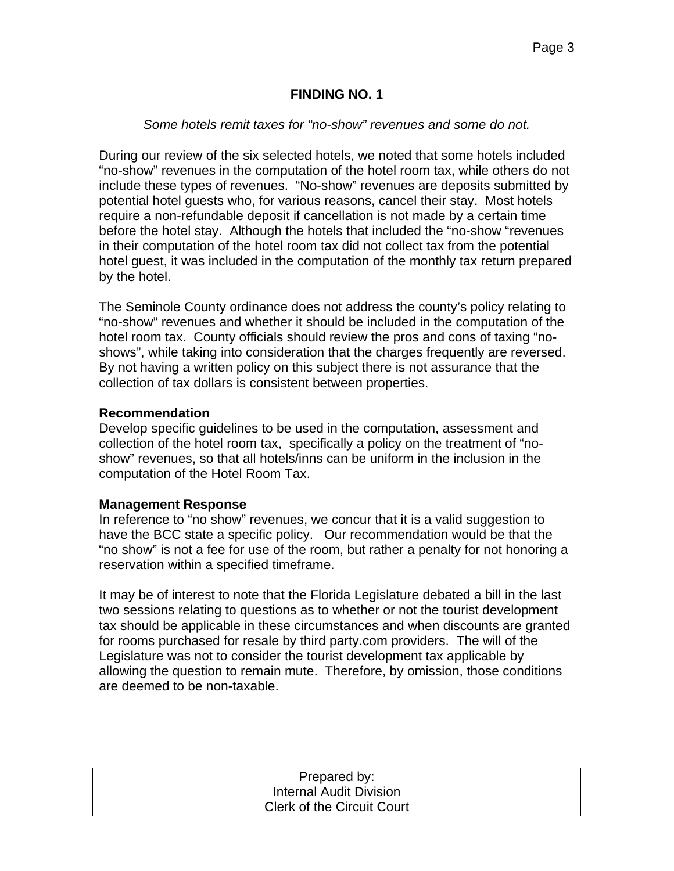### **FINDING NO. 1**

#### *Some hotels remit taxes for "no-show" revenues and some do not.*

During our review of the six selected hotels, we noted that some hotels included "no-show" revenues in the computation of the hotel room tax, while others do not include these types of revenues. "No-show" revenues are deposits submitted by potential hotel guests who, for various reasons, cancel their stay. Most hotels require a non-refundable deposit if cancellation is not made by a certain time before the hotel stay. Although the hotels that included the "no-show "revenues in their computation of the hotel room tax did not collect tax from the potential hotel guest, it was included in the computation of the monthly tax return prepared by the hotel.

The Seminole County ordinance does not address the county's policy relating to "no-show" revenues and whether it should be included in the computation of the hotel room tax. County officials should review the pros and cons of taxing "noshows", while taking into consideration that the charges frequently are reversed. By not having a written policy on this subject there is not assurance that the collection of tax dollars is consistent between properties.

### **Recommendation**

Develop specific guidelines to be used in the computation, assessment and collection of the hotel room tax, specifically a policy on the treatment of "noshow" revenues, so that all hotels/inns can be uniform in the inclusion in the computation of the Hotel Room Tax.

### **Management Response**

In reference to "no show" revenues, we concur that it is a valid suggestion to have the BCC state a specific policy. Our recommendation would be that the "no show" is not a fee for use of the room, but rather a penalty for not honoring a reservation within a specified timeframe.

It may be of interest to note that the Florida Legislature debated a bill in the last two sessions relating to questions as to whether or not the tourist development tax should be applicable in these circumstances and when discounts are granted for rooms purchased for resale by third party.com providers. The will of the Legislature was not to consider the tourist development tax applicable by allowing the question to remain mute. Therefore, by omission, those conditions are deemed to be non-taxable.

| Prepared by:                      |  |
|-----------------------------------|--|
| <b>Internal Audit Division</b>    |  |
| <b>Clerk of the Circuit Court</b> |  |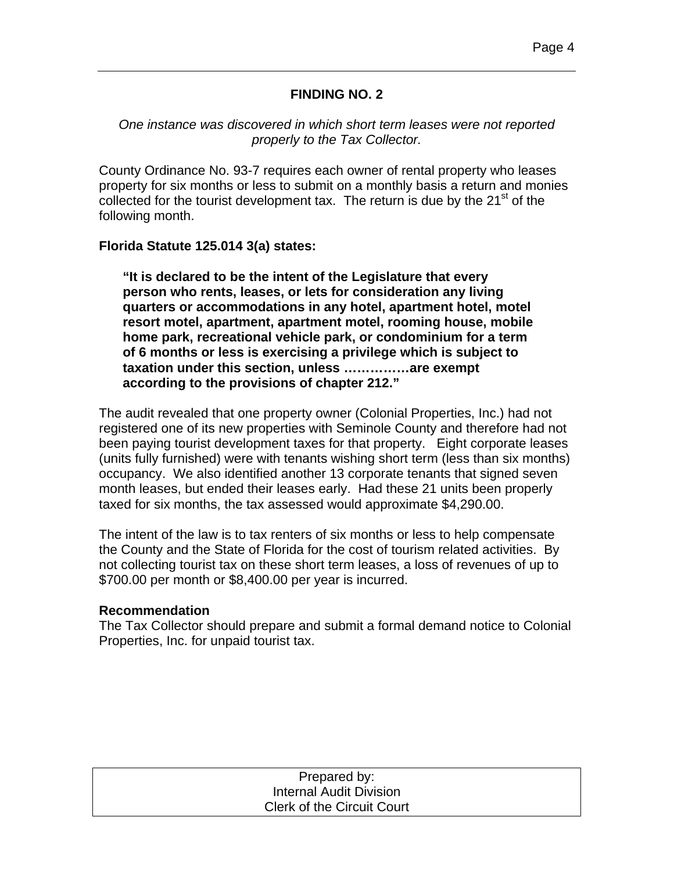## **FINDING NO. 2**

*One instance was discovered in which short term leases were not reported properly to the Tax Collector.* 

County Ordinance No. 93-7 requires each owner of rental property who leases property for six months or less to submit on a monthly basis a return and monies collected for the tourist development tax. The return is due by the  $21<sup>st</sup>$  of the following month.

### **Florida Statute 125.014 3(a) states:**

**"It is declared to be the intent of the Legislature that every person who rents, leases, or lets for consideration any living quarters or accommodations in any hotel, apartment hotel, motel resort motel, apartment, apartment motel, rooming house, mobile home park, recreational vehicle park, or condominium for a term of 6 months or less is exercising a privilege which is subject to taxation under this section, unless ……………are exempt according to the provisions of chapter 212."**

The audit revealed that one property owner (Colonial Properties, Inc.) had not registered one of its new properties with Seminole County and therefore had not been paying tourist development taxes for that property. Eight corporate leases (units fully furnished) were with tenants wishing short term (less than six months) occupancy. We also identified another 13 corporate tenants that signed seven month leases, but ended their leases early. Had these 21 units been properly taxed for six months, the tax assessed would approximate \$4,290.00.

The intent of the law is to tax renters of six months or less to help compensate the County and the State of Florida for the cost of tourism related activities. By not collecting tourist tax on these short term leases, a loss of revenues of up to \$700.00 per month or \$8,400.00 per year is incurred.

#### **Recommendation**

The Tax Collector should prepare and submit a formal demand notice to Colonial Properties, Inc. for unpaid tourist tax.

| Prepared by:                      |  |
|-----------------------------------|--|
| Internal Audit Division           |  |
| <b>Clerk of the Circuit Court</b> |  |